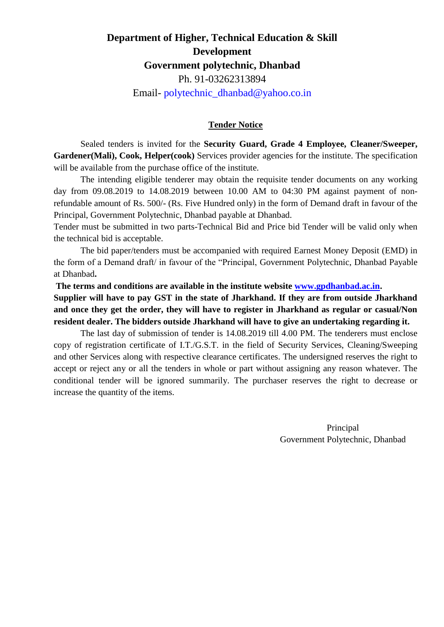# **Department of Higher, Technical Education & Skill Development Government polytechnic, Dhanbad** Ph. 91-03262313894 Email- [polytechnic\\_dhanbad@yahoo.co.in](mailto:polytechnic_dhanbad@yahoo.co.in)

### **Tender Notice**

Sealed tenders is invited for the **Security Guard, Grade 4 Employee, Cleaner/Sweeper, Gardener(Mali), Cook, Helper(cook)** Services provider agencies for the institute. The specification will be available from the purchase office of the institute.

The intending eligible tenderer may obtain the requisite tender documents on any working day from 09.08.2019 to 14.08.2019 between 10.00 AM to 04:30 PM against payment of nonrefundable amount of Rs. 500/- (Rs. Five Hundred only) in the form of Demand draft in favour of the Principal, Government Polytechnic, Dhanbad payable at Dhanbad.

Tender must be submitted in two parts-Technical Bid and Price bid Tender will be valid only when the technical bid is acceptable.

The bid paper/tenders must be accompanied with required Earnest Money Deposit (EMD) in the form of a Demand draft/ in favour of the "Principal, Government Polytechnic, Dhanbad Payable at Dhanbad**.**

**The terms and conditions are available in the institute website [www.gpdhanbad.ac.in.](http://www.gpdhanbad.ac.in/) Supplier will have to pay GST in the state of Jharkhand. If they are from outside Jharkhand and once they get the order, they will have to register in Jharkhand as regular or casual/Non resident dealer. The bidders outside Jharkhand will have to give an undertaking regarding it.** 

The last day of submission of tender is 14.08.2019 till 4.00 PM. The tenderers must enclose copy of registration certificate of I.T./G.S.T. in the field of Security Services, Cleaning/Sweeping and other Services along with respective clearance certificates. The undersigned reserves the right to accept or reject any or all the tenders in whole or part without assigning any reason whatever. The conditional tender will be ignored summarily. The purchaser reserves the right to decrease or increase the quantity of the items.

> Principal Government Polytechnic, Dhanbad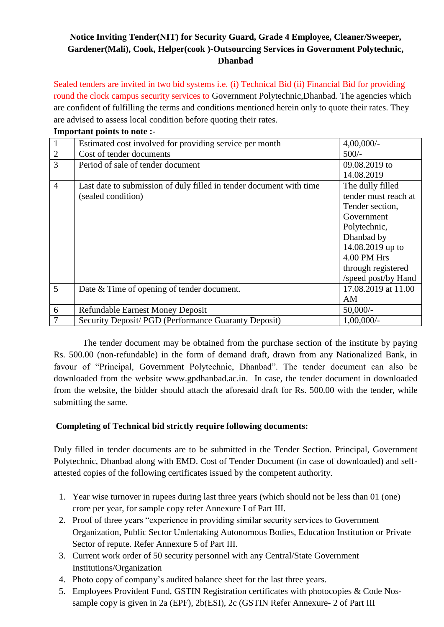## **Notice Inviting Tender(NIT) for Security Guard, Grade 4 Employee, Cleaner/Sweeper, Gardener(Mali), Cook, Helper(cook )-Outsourcing Services in Government Polytechnic, Dhanbad**

Sealed tenders are invited in two bid systems i.e. (i) Technical Bid (ii) Financial Bid for providing round the clock campus security services to Government Polytechnic,Dhanbad. The agencies which are confident of fulfilling the terms and conditions mentioned herein only to quote their rates. They are advised to assess local condition before quoting their rates. **Important points to note :-**

| Important points to note. |                                                                     |                      |  |  |  |
|---------------------------|---------------------------------------------------------------------|----------------------|--|--|--|
| $\mathbf{1}$              | Estimated cost involved for providing service per month             | $4,00,000/$ -        |  |  |  |
| $\overline{2}$            | Cost of tender documents                                            | $500/-$              |  |  |  |
| 3                         | Period of sale of tender document                                   | 09.08.2019 to        |  |  |  |
|                           |                                                                     | 14.08.2019           |  |  |  |
| $\overline{4}$            | Last date to submission of duly filled in tender document with time | The dully filled     |  |  |  |
|                           | (sealed condition)                                                  | tender must reach at |  |  |  |
|                           |                                                                     | Tender section,      |  |  |  |
|                           |                                                                     | Government           |  |  |  |
|                           |                                                                     | Polytechnic,         |  |  |  |
|                           |                                                                     | Dhanbad by           |  |  |  |
|                           |                                                                     | 14.08.2019 up to     |  |  |  |
|                           |                                                                     | 4.00 PM Hrs          |  |  |  |
|                           |                                                                     | through registered   |  |  |  |
|                           |                                                                     | /speed post/by Hand  |  |  |  |
| 5                         | Date & Time of opening of tender document.                          | 17.08.2019 at 11.00  |  |  |  |
|                           |                                                                     | ΑM                   |  |  |  |
| 6                         | <b>Refundable Earnest Money Deposit</b>                             | $50,000/-$           |  |  |  |
| 7                         | Security Deposit/ PGD (Performance Guaranty Deposit)                | $1,00,000/$ -        |  |  |  |

The tender document may be obtained from the purchase section of the institute by paying Rs. 500.00 (non-refundable) in the form of demand draft, drawn from any Nationalized Bank, in favour of "Principal, Government Polytechnic, Dhanbad". The tender document can also be downloaded from the website www.gpdhanbad.ac.in. In case, the tender document in downloaded from the website, the bidder should attach the aforesaid draft for Rs. 500.00 with the tender, while submitting the same.

## **Completing of Technical bid strictly require following documents:**

Duly filled in tender documents are to be submitted in the Tender Section. Principal, Government Polytechnic, Dhanbad along with EMD. Cost of Tender Document (in case of downloaded) and selfattested copies of the following certificates issued by the competent authority.

- 1. Year wise turnover in rupees during last three years (which should not be less than 01 (one) crore per year, for sample copy refer Annexure I of Part III.
- 2. Proof of three years "experience in providing similar security services to Government Organization, Public Sector Undertaking Autonomous Bodies, Education Institution or Private Sector of repute. Refer Annexure 5 of Part III.
- 3. Current work order of 50 security personnel with any Central/State Government Institutions/Organization
- 4. Photo copy of company's audited balance sheet for the last three years.
- 5. Employees Provident Fund, GSTIN Registration certificates with photocopies & Code Nossample copy is given in 2a (EPF), 2b(ESI), 2c (GSTIN Refer Annexure- 2 of Part III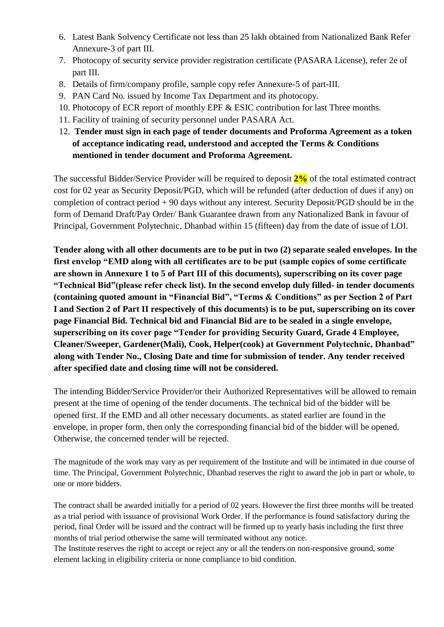- 6. Latest Bank Solvency Certificate not less than 25 lakh obtained from Nationalized Bank Refer Annexure-3 of part III.
- 7. Photocopy of security service provider registration certificate (PASARA License), refer 2e of part III.
- 8. Details of firm/company profile, sample copy refer Annexure-5 of part-III.
- 9. PAN Card No. issued by Income Tax Department and its photocopy.
- 10. Photocopy of ECR report of monthly EPF & ESIC contribution for last Three months.
- 11. Facility of training of security personnel under PASARA Act.
- 12. **Tender must sign in each page of tender documents and Proforma Agreement as a token of acceptance indicating read, understood and accepted the Terms & Conditions mentioned in tender document and Proforma Agreement.**

The successful Bidder/Service Provider will be required to deposit **2%** of the total estimated contract cost for 02 year as Security Deposit/PGD, which will be refunded (after deduction of dues if any) on completion of contract period + 90 days without any interest. Security Deposit/PGD should be in the form of Demand Draft/Pay Order/ Bank Guarantee drawn from any Nationalized Bank in favour of Principal, Government Polytechnic, Dhanbad within 15 (fifteen) day from the date of issue of LOI.

**Tender along with all other documents are to be put in two (2) separate sealed envelopes. In the first envelop "EMD along with all certificates are to be put (sample copies of some certificate are shown in Annexure 1 to 5 of Part III of this documents), superscribing on its cover page "Technical Bid"(please refer check list). In the second envelop duly filled- in tender documents (containing quoted amount in "Financial Bid", "Terms & Conditions" as per Section 2 of Part I and Section 2 of Part II respectively of this documents) is to be put, superscribing on its cover page Financial Bid. Technical bid and Financial Bid are to be sealed in a single envelope, superscribing on its cover page "Tender for providing Security Guard, Grade 4 Employee, Cleaner/Sweeper, Gardener(Mali), Cook, Helper(cook) at Government Polytechnic, Dhanbad" along with Tender No., Closing Date and time for submission of tender. Any tender received after specified date and closing time will not be considered.** 

The intending Bidder/Service Provider/or their Authorized Representatives will be allowed to remain present at the time of opening of the tender documents. The technical bid of the bidder will be opened first. If the EMD and all other necessary documents. as stated earlier are found in the envelope, in proper form, then only the corresponding financial bid of the bidder will be opened. Otherwise, the concerned tender will be rejected.

The magnitude of the work may vary as per requirement of the Institute and will be intimated in due course of time. The Principal, Government Polytechnic, Dhanbad reserves the right to award the job in part or whole, to one or more bidders.

The contract shall be awarded initially for a period of 02 years. However the first three months will be treated as a trial period with issuance of provisional Work Order. If the performance is found satisfactory during the period, final Order will be issued and the contract will be firmed up to yearly basis including the first three months of trial period otherwise the same will terminated without any notice.

The Institute reserves the right to accept or reject any or all the tenders on non-responsive ground, some element lacking in eligibility criteria or none compliance to bid condition.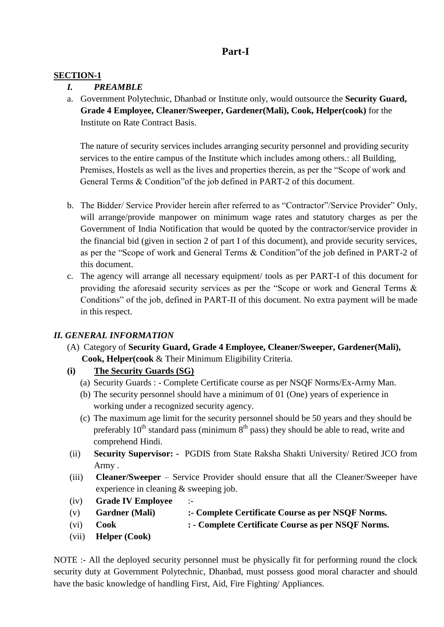# **Part-I**

## **SECTION-1**

## *I. PREAMBLE*

a. Government Polytechnic, Dhanbad or Institute only, would outsource the **Security Guard, Grade 4 Employee, Cleaner/Sweeper, Gardener(Mali), Cook, Helper(cook)** for the Institute on Rate Contract Basis.

The nature of security services includes arranging security personnel and providing security services to the entire campus of the Institute which includes among others.: all Building, Premises, Hostels as well as the lives and properties therein, as per the "Scope of work and General Terms & Condition"of the job defined in PART-2 of this document.

- b. The Bidder/ Service Provider herein after referred to as "Contractor"/Service Provider" Only, will arrange/provide manpower on minimum wage rates and statutory charges as per the Government of India Notification that would be quoted by the contractor/service provider in the financial bid (given in section 2 of part I of this document), and provide security services, as per the "Scope of work and General Terms & Condition"of the job defined in PART-2 of this document.
- c. The agency will arrange all necessary equipment/ tools as per PART-I of this document for providing the aforesaid security services as per the "Scope or work and General Terms & Conditions" of the job, defined in PART-II of this document. No extra payment will be made in this respect.

## *II. GENERAL INFORMATION*

- (A) Category of **Security Guard, Grade 4 Employee, Cleaner/Sweeper, Gardener(Mali), Cook, Helper(cook** & Their Minimum Eligibility Criteria.
- **(i) The Security Guards (SG)**
	- (a) Security Guards : Complete Certificate course as per NSQF Norms/Ex-Army Man.
	- (b) The security personnel should have a minimum of 01 (One) years of experience in working under a recognized security agency.
	- (c) The maximum age limit for the security personnel should be 50 years and they should be preferably  $10^{th}$  standard pass (minimum  $8^{th}$  pass) they should be able to read, write and comprehend Hindi.
- (ii) **Security Supervisor: -** PGDIS from State Raksha Shakti University/ Retired JCO from Army .
- (iii) **Cleaner/Sweeper** Service Provider should ensure that all the Cleaner/Sweeper have experience in cleaning & sweeping job.
- (iv) **Grade IV Employee** :-
- (v) **Gardner (Mali) :- Complete Certificate Course as per NSQF Norms.**
- (vi) **Cook : - Complete Certificate Course as per NSQF Norms.**
- (vii) **Helper (Cook)**

NOTE :- All the deployed security personnel must be physically fit for performing round the clock security duty at Government Polytechnic, Dhanbad, must possess good moral character and should have the basic knowledge of handling First, Aid, Fire Fighting/ Appliances.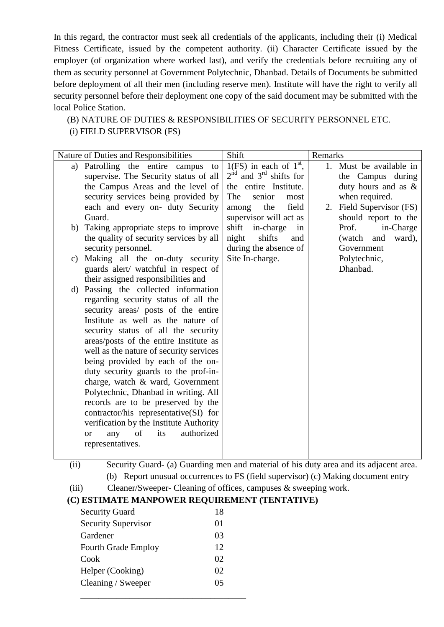In this regard, the contractor must seek all credentials of the applicants, including their (i) Medical Fitness Certificate, issued by the competent authority. (ii) Character Certificate issued by the employer (of organization where worked last), and verify the credentials before recruiting any of them as security personnel at Government Polytechnic, Dhanbad. Details of Documents be submitted before deployment of all their men (including reserve men). Institute will have the right to verify all security personnel before their deployment one copy of the said document may be submitted with the local Police Station.

(B) NATURE OF DUTIES & RESPONSIBILITIES OF SECURITY PERSONNEL ETC.

(i) FIELD SUPERVISOR (FS)

| (ii)  | Security Guard- (a) Guarding men and material of his duty area and its adjacent area. |
|-------|---------------------------------------------------------------------------------------|
|       | (b) Report unusual occurrences to FS (field supervisor) (c) Making document entry     |
| (iii) | Cleaner/Sweeper- Cleaning of offices, campuses & sweeping work.                       |

## **(C) ESTIMATE MANPOWER REQUIREMENT (TENTATIVE)**

| <b>Security Guard</b>      | 18 |
|----------------------------|----|
| <b>Security Supervisor</b> | 01 |
| Gardener                   | 03 |
| <b>Fourth Grade Employ</b> | 12 |
| Cook                       | 02 |
| Helper (Cooking)           | 02 |
| Cleaning / Sweeper         | 05 |
|                            |    |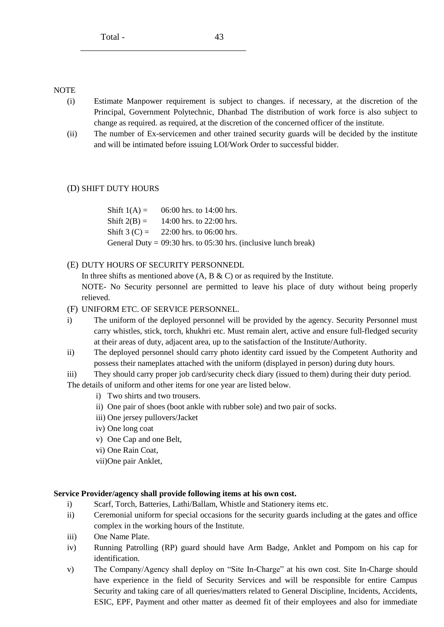#### NOTE

- (i) Estimate Manpower requirement is subject to changes. if necessary, at the discretion of the Principal, Government Polytechnic, Dhanbad The distribution of work force is also subject to change as required. as required, at the discretion of the concerned officer of the institute.
- (ii) The number of Ex-servicemen and other trained security guards will be decided by the institute and will be intimated before issuing LOI/Work Order to successful bidder.

#### (D) SHIFT DUTY HOURS

Shift  $1(A) = 06:00$  hrs. to 14:00 hrs. Shift  $2(B) = 14:00$  hrs. to 22:00 hrs. Shift  $3 (C) = 22:00$  hrs. to 06:00 hrs. General Duty =  $09:30$  hrs. to 05:30 hrs. (inclusive lunch break)

(E) DUTY HOURS OF SECURITY PERSONNEDL

\_\_\_\_\_\_\_\_\_\_\_\_\_\_\_\_\_\_\_\_\_\_\_\_\_\_\_\_\_\_\_\_\_\_\_\_\_

In three shifts as mentioned above  $(A, B & C)$  or as required by the Institute.

NOTE- No Security personnel are permitted to leave his place of duty without being properly relieved.

- (F) UNIFORM ETC. OF SERVICE PERSONNEL.
- i) The uniform of the deployed personnel will be provided by the agency. Security Personnel must carry whistles, stick, torch, khukhri etc. Must remain alert, active and ensure full-fledged security at their areas of duty, adjacent area, up to the satisfaction of the Institute/Authority.
- ii) The deployed personnel should carry photo identity card issued by the Competent Authority and possess their nameplates attached with the uniform (displayed in person) during duty hours.
- iii) They should carry proper job card/security check diary (issued to them) during their duty period. The details of uniform and other items for one year are listed below.
	- i) Two shirts and two trousers.
	- ii) One pair of shoes (boot ankle with rubber sole) and two pair of socks.
	- iii) One jersey pullovers/Jacket
	- iv) One long coat
	- v) One Cap and one Belt,
	- vi) One Rain Coat,
	- vii)One pair Anklet,

#### **Service Provider/agency shall provide following items at his own cost.**

- i) Scarf, Torch, Batteries, Lathi/Ballam, Whistle and Stationery items etc.
- ii) Ceremonial uniform for special occasions for the security guards including at the gates and office complex in the working hours of the Institute.
- iii) One Name Plate.
- iv) Running Patrolling (RP) guard should have Arm Badge, Anklet and Pompom on his cap for identification.
- v) The Company/Agency shall deploy on "Site In-Charge" at his own cost. Site In-Charge should have experience in the field of Security Services and will be responsible for entire Campus Security and taking care of all queries/matters related to General Discipline, Incidents, Accidents, ESIC, EPF, Payment and other matter as deemed fit of their employees and also for immediate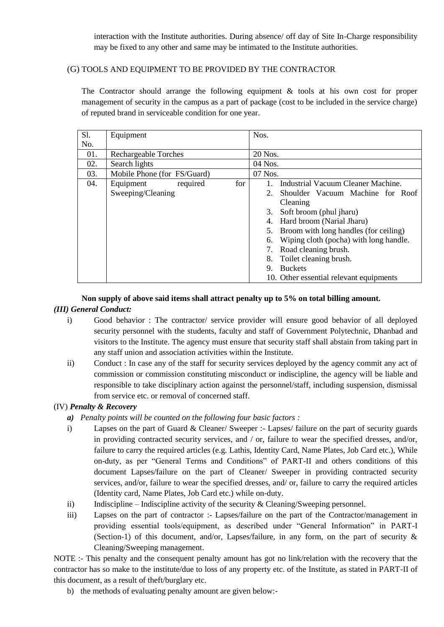interaction with the Institute authorities. During absence/ off day of Site In-Charge responsibility may be fixed to any other and same may be intimated to the Institute authorities.

### (G) TOOLS AND EQUIPMENT TO BE PROVIDED BY THE CONTRACTOR

The Contractor should arrange the following equipment & tools at his own cost for proper management of security in the campus as a part of package (cost to be included in the service charge) of reputed brand in serviceable condition for one year.

| Sl. | Equipment                     | Nos.                                         |  |  |  |
|-----|-------------------------------|----------------------------------------------|--|--|--|
| No. |                               |                                              |  |  |  |
| 01. | Rechargeable Torches          | 20 Nos.                                      |  |  |  |
| 02. | Search lights                 | 04 Nos.                                      |  |  |  |
| 03. | Mobile Phone (for FS/Guard)   | 07 Nos.                                      |  |  |  |
| 04. | required<br>for.<br>Equipment | Industrial Vacuum Cleaner Machine.           |  |  |  |
|     | Sweeping/Cleaning             | Shoulder Vacuum Machine for Roof<br>2.       |  |  |  |
|     |                               | Cleaning                                     |  |  |  |
|     |                               | Soft broom (phul jharu)<br>3.                |  |  |  |
|     |                               | Hard broom (Narial Jharu)<br>4.              |  |  |  |
|     |                               | 5. Broom with long handles (for ceiling)     |  |  |  |
|     |                               | Wiping cloth (pocha) with long handle.<br>6. |  |  |  |
|     |                               | Road cleaning brush.                         |  |  |  |
|     |                               | Toilet cleaning brush.<br>8.                 |  |  |  |
|     |                               | <b>Buckets</b><br>9.                         |  |  |  |
|     |                               | 10. Other essential relevant equipments      |  |  |  |

### **Non supply of above said items shall attract penalty up to 5% on total billing amount.**  *(III) General Conduct:*

- i) Good behavior : The contractor/ service provider will ensure good behavior of all deployed security personnel with the students, faculty and staff of Government Polytechnic, Dhanbad and visitors to the Institute. The agency must ensure that security staff shall abstain from taking part in any staff union and association activities within the Institute.
- ii) Conduct : In case any of the staff for security services deployed by the agency commit any act of commission or commission constituting misconduct or indiscipline, the agency will be liable and responsible to take disciplinary action against the personnel/staff, including suspension, dismissal from service etc. or removal of concerned staff.

### (IV) *Penalty & Recovery*

- *a) Penalty points will be counted on the following four basic factors :*
- i) Lapses on the part of Guard & Cleaner/ Sweeper :- Lapses/ failure on the part of security guards in providing contracted security services, and / or, failure to wear the specified dresses, and/or, failure to carry the required articles (e.g. Lathis, Identity Card, Name Plates, Job Card etc.), While on-duty, as per "General Terms and Conditions" of PART-II and others conditions of this document Lapses/failure on the part of Cleaner/ Sweeper in providing contracted security services, and/or, failure to wear the specified dresses, and/ or, failure to carry the required articles (Identity card, Name Plates, Job Card etc.) while on-duty.
- ii) Indiscipline Indiscipline activity of the security & Cleaning/Sweeping personnel.
- iii) Lapses on the part of contractor :- Lapses/failure on the part of the Contractor/management in providing essential tools/equipment, as described under "General Information" in PART-I (Section-1) of this document, and/or, Lapses/failure, in any form, on the part of security  $\&$ Cleaning/Sweeping management.

NOTE :- This penalty and the consequent penalty amount has got no link/relation with the recovery that the contractor has so make to the institute/due to loss of any property etc. of the Institute, as stated in PART-II of this document, as a result of theft/burglary etc.

b) the methods of evaluating penalty amount are given below:-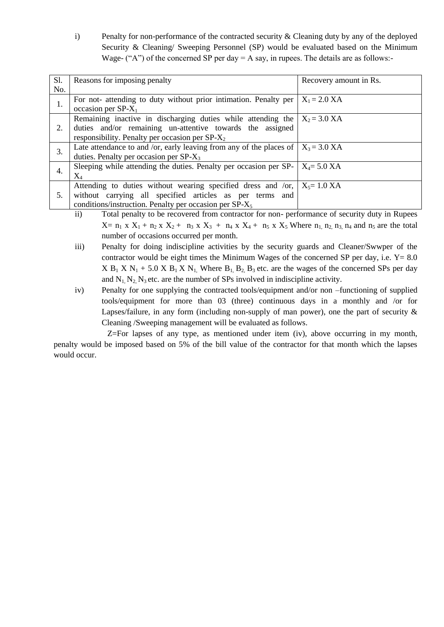i) Penalty for non-performance of the contracted security & Cleaning duty by any of the deployed Security & Cleaning/ Sweeping Personnel (SP) would be evaluated based on the Minimum Wage- ("A") of the concerned SP per day  $= A$  say, in rupees. The details are as follows:-

| S1.              | Reasons for imposing penalty                                                                              | Recovery amount in Rs. |  |
|------------------|-----------------------------------------------------------------------------------------------------------|------------------------|--|
| No.              |                                                                                                           |                        |  |
| 1.               | For not- attending to duty without prior intimation. Penalty per $ X_1 = 2.0 XA$<br>occasion per $SP-X_1$ |                        |  |
|                  | Remaining inactive in discharging duties while attending the $X_2 = 3.0 XA$                               |                        |  |
| 2.               | duties and/or remaining un-attentive towards the assigned                                                 |                        |  |
|                  | responsibility. Penalty per occasion per $SP-X_2$                                                         |                        |  |
| $\overline{3}$ . | Late attendance to and /or, early leaving from any of the places of $X_3 = 3.0$ XA                        |                        |  |
|                  | duties. Penalty per occasion per $SP-X_3$                                                                 |                        |  |
|                  | Sleeping while attending the duties. Penalty per occasion per SP- $\mid X_4 = 5.0$ XA                     |                        |  |
| 4.               | $\rm X_4$                                                                                                 |                        |  |
|                  | Attending to duties without wearing specified dress and /or, $X_5 = 1.0 XA$                               |                        |  |
| 5.               | without carrying all specified articles as per terms and                                                  |                        |  |
|                  | conditions/instruction. Penalty per occasion per $SP-X5$                                                  |                        |  |

ii) Total penalty to be recovered from contractor for non- performance of security duty in Rupees  $X= n_1 x X_1 + n_2 x X_2 + n_3 x X_3 + n_4 x X_4 + n_5 x X_5$  Where  $n_1, n_2, n_3, n_4$  and  $n_5$  are the total number of occasions occurred per month.

- iii) Penalty for doing indiscipline activities by the security guards and Cleaner/Swwper of the contractor would be eight times the Minimum Wages of the concerned SP per day, i.e.  $Y = 8.0$  $X B_1 X N_1 + 5.0 X B_1 X N_1$ , Where  $B_1, B_2, B_3$  etc. are the wages of the concerned SPs per day and  $N_1$ ,  $N_2$ ,  $N_3$  etc. are the number of SPs involved in indiscipline activity.
- iv) Penalty for one supplying the contracted tools/equipment and/or non –functioning of supplied tools/equipment for more than 03 (three) continuous days in a monthly and /or for Lapses/failure, in any form (including non-supply of man power), one the part of security  $\&$ Cleaning /Sweeping management will be evaluated as follows.

Z=For lapses of any type, as mentioned under item (iv), above occurring in my month, penalty would be imposed based on 5% of the bill value of the contractor for that month which the lapses would occur.